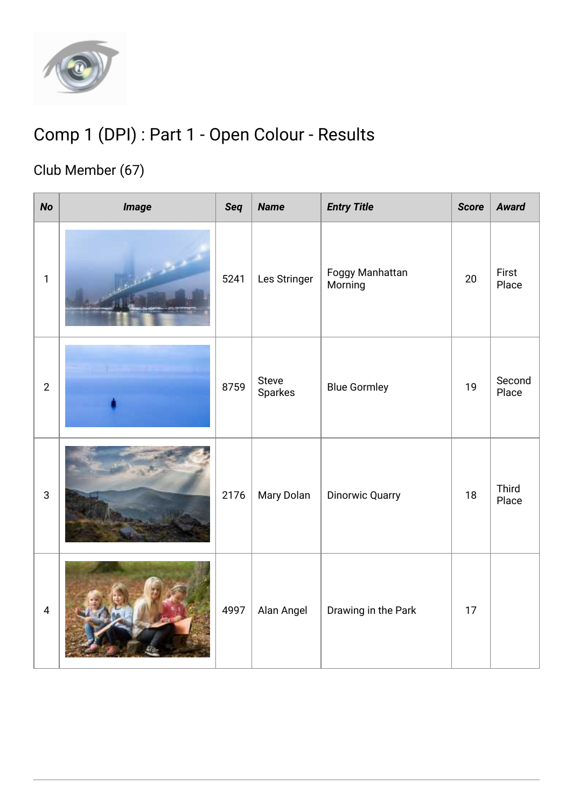

## Comp 1 (DPI) : Part 1 - Open Colour - Results

## Club Member (67)

| <b>No</b>      | <i><b>Image</b></i> | Seq  | <b>Name</b>      | <b>Entry Title</b>         | <b>Score</b> | <b>Award</b>    |
|----------------|---------------------|------|------------------|----------------------------|--------------|-----------------|
| $\mathbf{1}$   |                     | 5241 | Les Stringer     | Foggy Manhattan<br>Morning | 20           | First<br>Place  |
| $\overline{2}$ |                     | 8759 | Steve<br>Sparkes | <b>Blue Gormley</b>        | 19           | Second<br>Place |
| $\sqrt{3}$     |                     | 2176 | Mary Dolan       | <b>Dinorwic Quarry</b>     | 18           | Third<br>Place  |
| $\overline{4}$ |                     | 4997 | Alan Angel       | Drawing in the Park        | 17           |                 |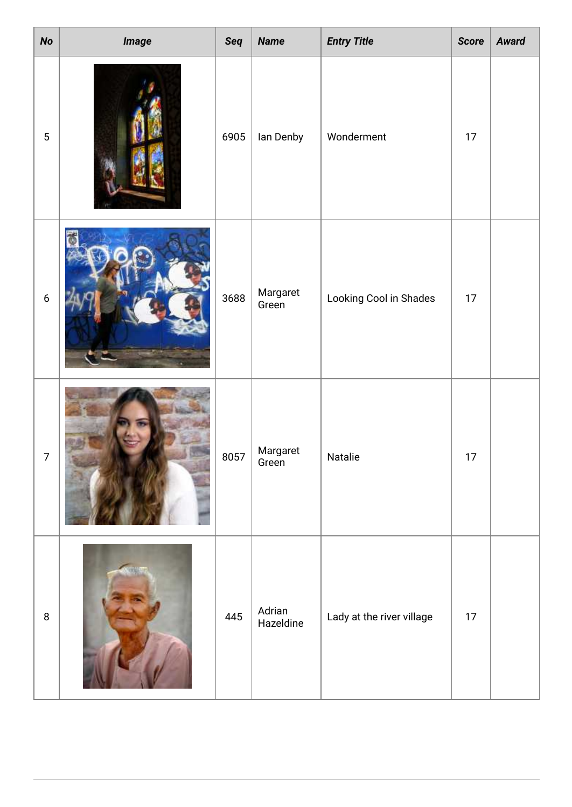| $\boldsymbol{\mathit{No}}$ | <i><b>Image</b></i> | Seq  | <b>Name</b>         | <b>Entry Title</b>        | <b>Score</b> | <b>Award</b> |
|----------------------------|---------------------|------|---------------------|---------------------------|--------------|--------------|
| $\sqrt{5}$                 |                     | 6905 | lan Denby           | Wonderment                | $17\,$       |              |
| $\boldsymbol{6}$           |                     | 3688 | Margaret<br>Green   | Looking Cool in Shades    | $17$         |              |
| 7                          |                     | 8057 | Margaret<br>Green   | Natalie                   | $17 \,$      |              |
| $\, 8$                     |                     | 445  | Adrian<br>Hazeldine | Lady at the river village | $17 \,$      |              |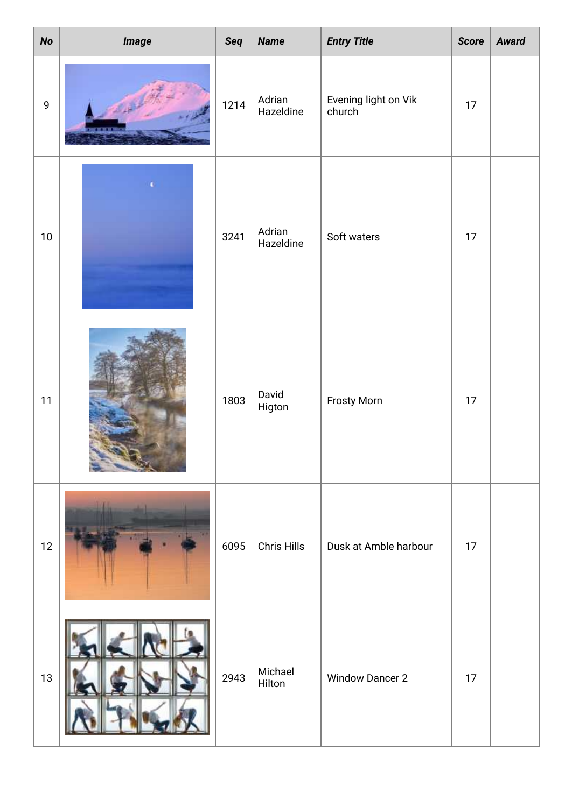| No          | Image | Seq  | <b>Name</b>         | <b>Entry Title</b>             | <b>Score</b> | <b>Award</b> |
|-------------|-------|------|---------------------|--------------------------------|--------------|--------------|
| $\mathsf g$ |       | 1214 | Adrian<br>Hazeldine | Evening light on Vik<br>church | 17           |              |
| $10\,$      |       | 3241 | Adrian<br>Hazeldine | Soft waters                    | 17           |              |
| 11          |       | 1803 | David<br>Higton     | <b>Frosty Morn</b>             | $17\,$       |              |
| 12          |       | 6095 | <b>Chris Hills</b>  | Dusk at Amble harbour          | 17           |              |
| 13          |       | 2943 | Michael<br>Hilton   | <b>Window Dancer 2</b>         | 17           |              |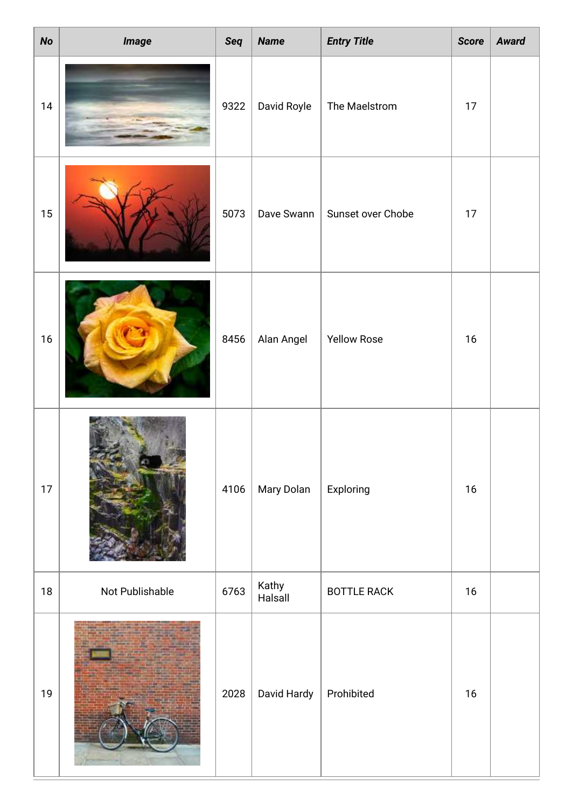| <b>No</b> | <i><b>Image</b></i> | Seq  | <b>Name</b>      | <b>Entry Title</b> | <b>Score</b> | <b>Award</b> |
|-----------|---------------------|------|------------------|--------------------|--------------|--------------|
| $14$      |                     | 9322 | David Royle      | The Maelstrom      | $17\,$       |              |
| 15        |                     | 5073 | Dave Swann       | Sunset over Chobe  | $17$         |              |
| $16$      |                     | 8456 | Alan Angel       | <b>Yellow Rose</b> | $16$         |              |
| 17        |                     | 4106 | Mary Dolan       | Exploring          | 16           |              |
| 18        | Not Publishable     | 6763 | Kathy<br>Halsall | <b>BOTTLE RACK</b> | 16           |              |
| 19        |                     | 2028 | David Hardy      | Prohibited         | $16$         |              |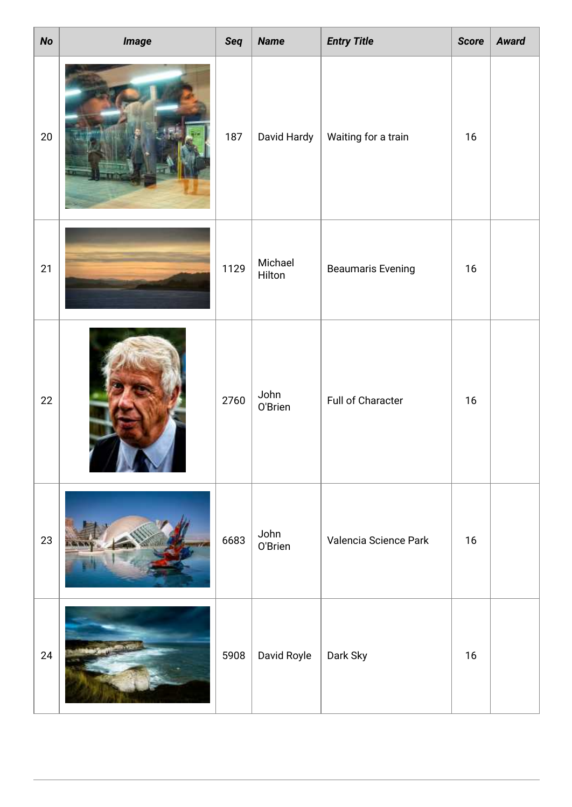| <b>No</b> | <i><b>Image</b></i> | Seq  | <b>Name</b>       | <b>Entry Title</b>       | <b>Score</b> | <b>Award</b> |
|-----------|---------------------|------|-------------------|--------------------------|--------------|--------------|
| $20\,$    |                     | 187  | David Hardy       | Waiting for a train      | $16$         |              |
| 21        |                     | 1129 | Michael<br>Hilton | <b>Beaumaris Evening</b> | $16$         |              |
| 22        |                     | 2760 | John<br>O'Brien   | Full of Character        | $16$         |              |
| 23        |                     | 6683 | John<br>O'Brien   | Valencia Science Park    | 16           |              |
| 24        |                     | 5908 | David Royle       | Dark Sky                 | 16           |              |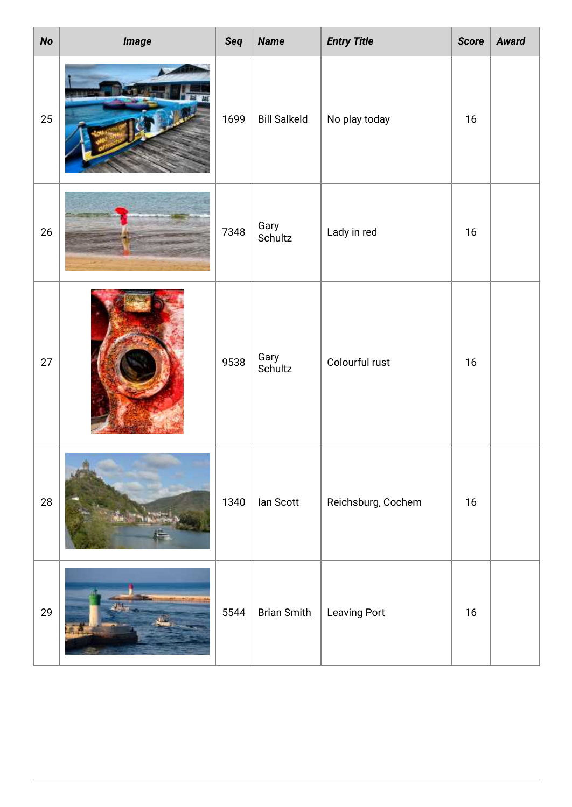| <b>No</b> | <i><b>Image</b></i> | Seq  | <b>Name</b>         | <b>Entry Title</b>  | <b>Score</b> | <b>Award</b> |
|-----------|---------------------|------|---------------------|---------------------|--------------|--------------|
| 25        |                     | 1699 | <b>Bill Salkeld</b> | No play today       | 16           |              |
| 26        |                     | 7348 | Gary<br>Schultz     | Lady in red         | 16           |              |
| 27        |                     | 9538 | Gary<br>Schultz     | Colourful rust      | 16           |              |
| 28        |                     | 1340 | lan Scott           | Reichsburg, Cochem  | 16           |              |
| 29        |                     | 5544 | <b>Brian Smith</b>  | <b>Leaving Port</b> | $16$         |              |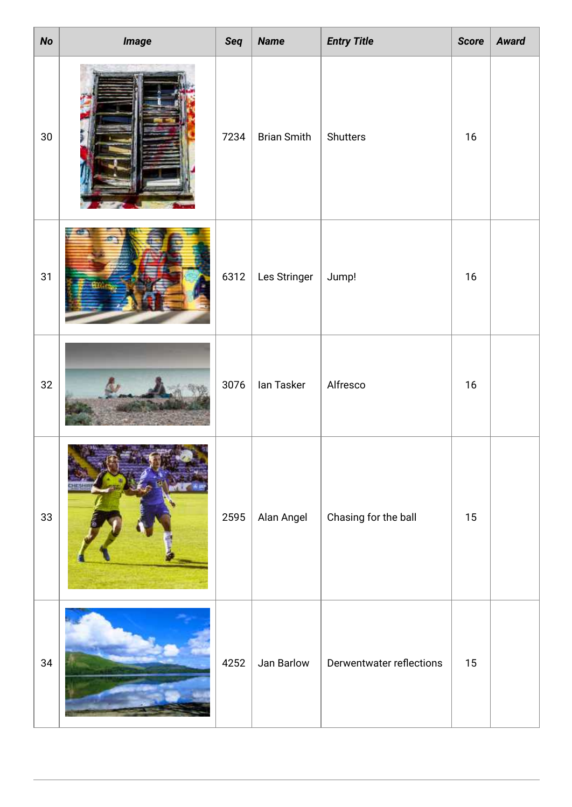| <b>No</b> | <b>Image</b> | Seq  | <b>Name</b>        | <b>Entry Title</b>       | <b>Score</b> | <b>Award</b> |
|-----------|--------------|------|--------------------|--------------------------|--------------|--------------|
| $30\,$    |              | 7234 | <b>Brian Smith</b> | Shutters                 | $16$         |              |
| 31        |              | 6312 | Les Stringer       | Jump!                    | 16           |              |
| 32        |              | 3076 | lan Tasker         | Alfresco                 | $16$         |              |
| $33\,$    | HESHI        | 2595 | Alan Angel         | Chasing for the ball     | $15\,$       |              |
| 34        |              | 4252 | Jan Barlow         | Derwentwater reflections | 15           |              |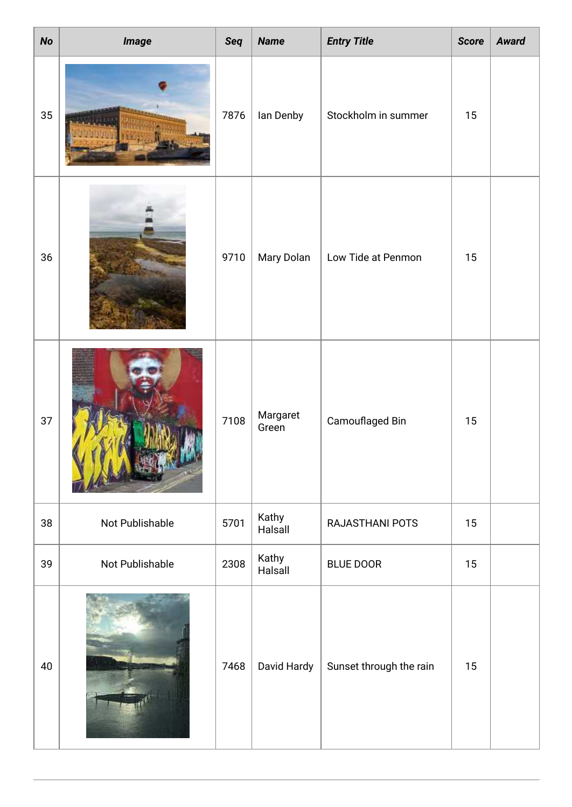| <b>No</b> | <i><b>Image</b></i> | Seq  | <b>Name</b>       | <b>Entry Title</b>      | <b>Score</b> | <b>Award</b> |
|-----------|---------------------|------|-------------------|-------------------------|--------------|--------------|
| 35        |                     | 7876 | lan Denby         | Stockholm in summer     | 15           |              |
| 36        |                     | 9710 | Mary Dolan        | Low Tide at Penmon      | 15           |              |
| 37        |                     | 7108 | Margaret<br>Green | Camouflaged Bin         | 15           |              |
| 38        | Not Publishable     | 5701 | Kathy<br>Halsall  | RAJASTHANI POTS         | 15           |              |
| 39        | Not Publishable     | 2308 | Kathy<br>Halsall  | <b>BLUE DOOR</b>        | 15           |              |
| 40        |                     | 7468 | David Hardy       | Sunset through the rain | 15           |              |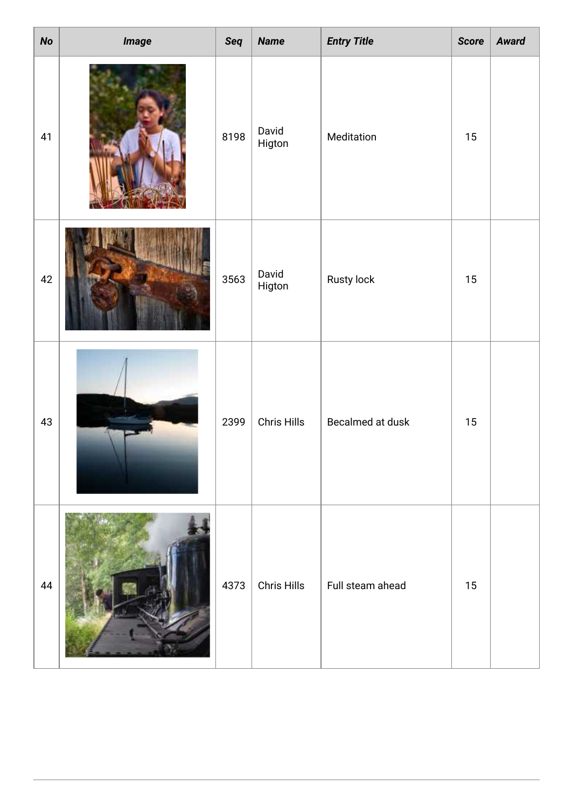| No | <i><b>Image</b></i> | Seq  | <b>Name</b>        | <b>Entry Title</b> | <b>Score</b> | <b>Award</b> |
|----|---------------------|------|--------------------|--------------------|--------------|--------------|
| 41 |                     | 8198 | David<br>Higton    | Meditation         | 15           |              |
| 42 |                     | 3563 | David<br>Higton    | Rusty lock         | 15           |              |
| 43 |                     | 2399 | <b>Chris Hills</b> | Becalmed at dusk   | 15           |              |
| 44 |                     | 4373 | Chris Hills        | Full steam ahead   | 15           |              |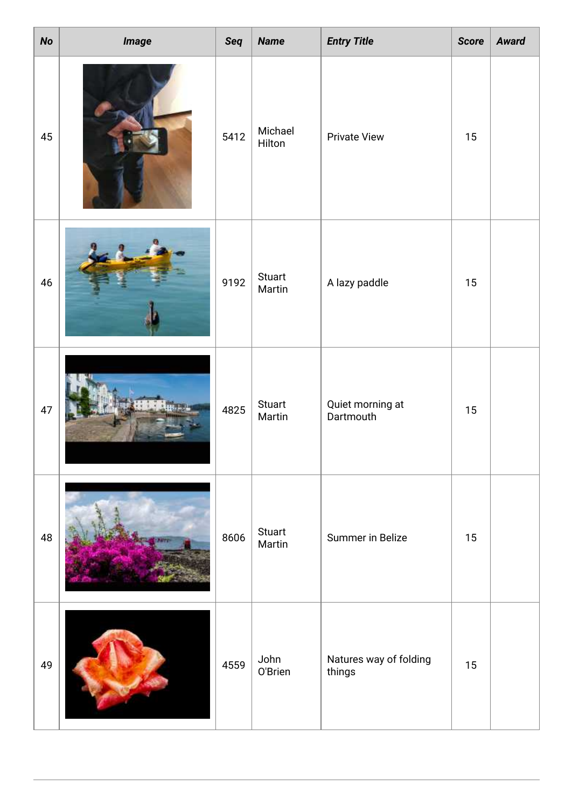| No     | <i><b>Image</b></i> | Seq  | <b>Name</b>             | <b>Entry Title</b>               | <b>Score</b> | <b>Award</b> |
|--------|---------------------|------|-------------------------|----------------------------------|--------------|--------------|
| 45     |                     | 5412 | Michael<br>Hilton       | <b>Private View</b>              | 15           |              |
| $46\,$ |                     | 9192 | Stuart<br>Martin        | A lazy paddle                    | 15           |              |
| $47\,$ |                     | 4825 | Stuart<br>Martin        | Quiet morning at<br>Dartmouth    | 15           |              |
| 48     |                     | 8606 | <b>Stuart</b><br>Martin | Summer in Belize                 | 15           |              |
| 49     |                     | 4559 | John<br>O'Brien         | Natures way of folding<br>things | 15           |              |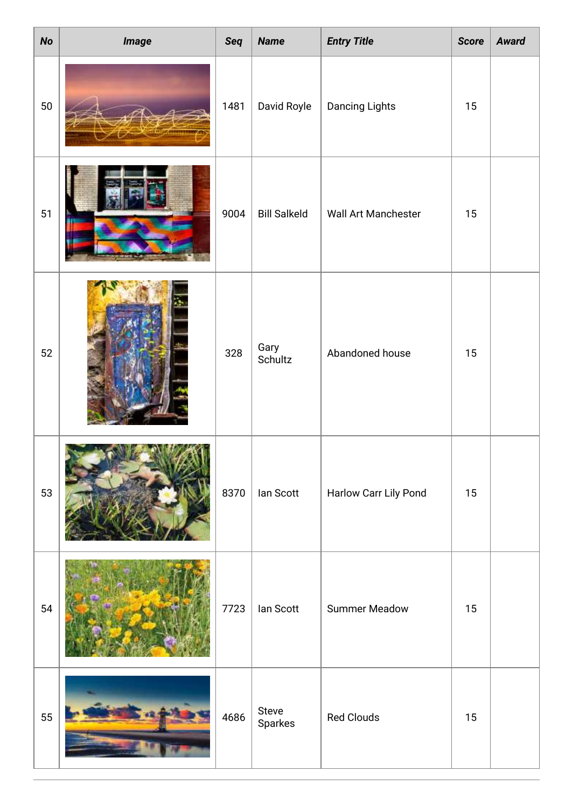| <b>No</b> | <i><b>Image</b></i> | Seq  | <b>Name</b>         | <b>Entry Title</b>    | <b>Score</b> | <b>Award</b> |
|-----------|---------------------|------|---------------------|-----------------------|--------------|--------------|
| 50        |                     | 1481 | David Royle         | <b>Dancing Lights</b> | 15           |              |
| 51        |                     | 9004 | <b>Bill Salkeld</b> | Wall Art Manchester   | 15           |              |
| 52        |                     | 328  | Gary<br>Schultz     | Abandoned house       | 15           |              |
| 53        |                     | 8370 | lan Scott           | Harlow Carr Lily Pond | 15           |              |
| 54        |                     | 7723 | lan Scott           | <b>Summer Meadow</b>  | 15           |              |
| 55        |                     | 4686 | Steve<br>Sparkes    | <b>Red Clouds</b>     | 15           |              |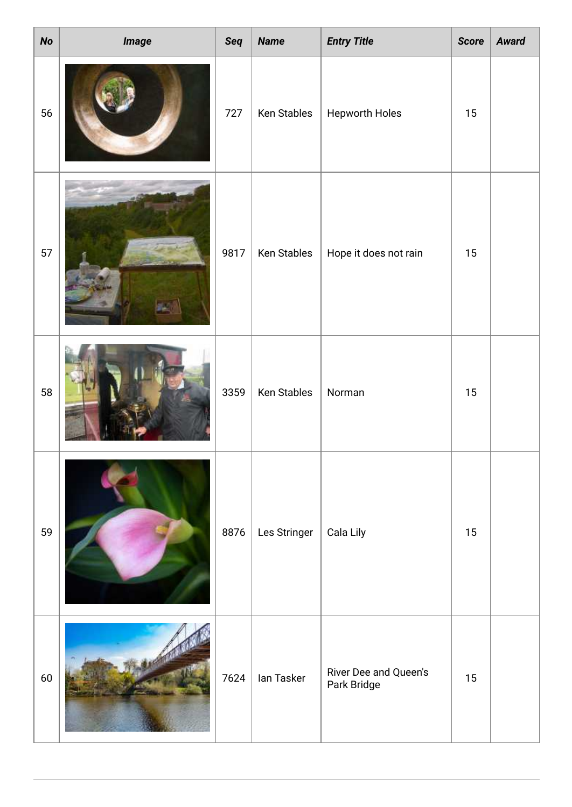| No | <i><b>Image</b></i> | Seq  | <b>Name</b>  | <b>Entry Title</b>                   | <b>Score</b> | <b>Award</b> |
|----|---------------------|------|--------------|--------------------------------------|--------------|--------------|
| 56 |                     | 727  | Ken Stables  | <b>Hepworth Holes</b>                | 15           |              |
| 57 |                     | 9817 | Ken Stables  | Hope it does not rain                | 15           |              |
| 58 |                     | 3359 | Ken Stables  | Norman                               | 15           |              |
| 59 |                     | 8876 | Les Stringer | Cala Lily                            | 15           |              |
| 60 |                     | 7624 | lan Tasker   | River Dee and Queen's<br>Park Bridge | 15           |              |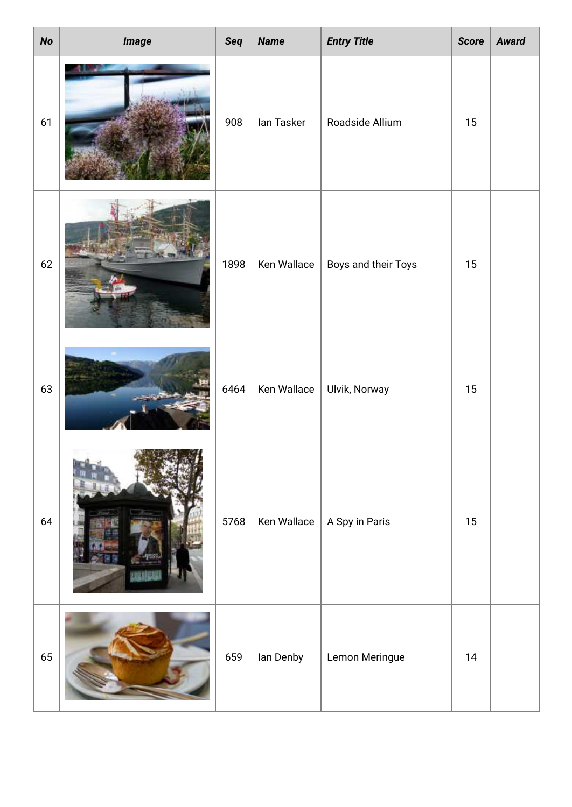| <b>No</b> | <i><b>Image</b></i> | Seq  | <b>Name</b> | <b>Entry Title</b>  | <b>Score</b> | <b>Award</b> |
|-----------|---------------------|------|-------------|---------------------|--------------|--------------|
| 61        |                     | 908  | lan Tasker  | Roadside Allium     | 15           |              |
| 62        |                     | 1898 | Ken Wallace | Boys and their Toys | 15           |              |
| 63        |                     | 6464 | Ken Wallace | Ulvik, Norway       | 15           |              |
| 64        |                     | 5768 | Ken Wallace | A Spy in Paris      | $15\,$       |              |
| 65        |                     | 659  | lan Denby   | Lemon Meringue      | 14           |              |